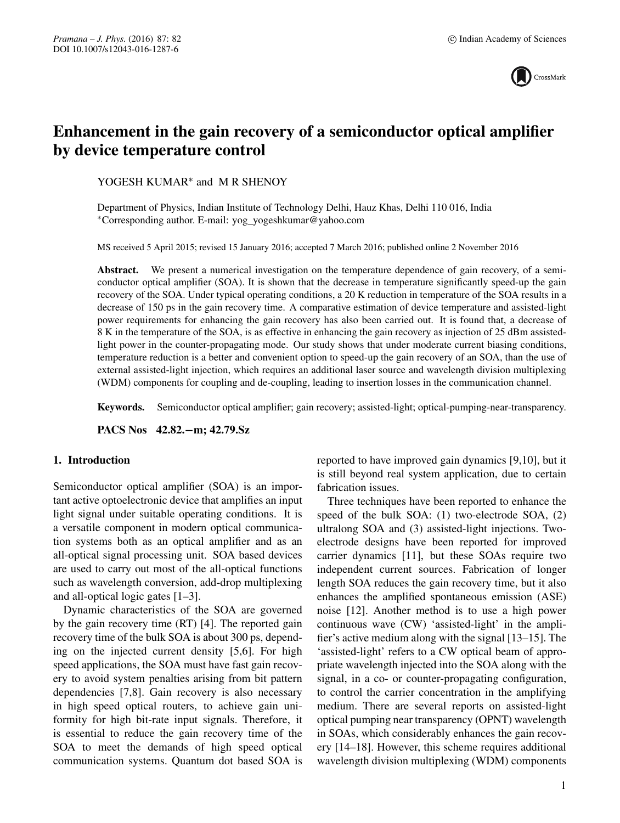

# **Enhancement in the gain recovery of a semiconductor optical amplifier by device temperature control**

YOGESH KUMAR<sup>∗</sup> and M R SHENOY

Department of Physics, Indian Institute of Technology Delhi, Hauz Khas, Delhi 110 016, India ∗Corresponding author. E-mail: yog\_yogeshkumar@yahoo.com

MS received 5 April 2015; revised 15 January 2016; accepted 7 March 2016; published online 2 November 2016

**Abstract.** We present a numerical investigation on the temperature dependence of gain recovery, of a semiconductor optical amplifier (SOA). It is shown that the decrease in temperature significantly speed-up the gain recovery of the SOA. Under typical operating conditions, a 20 K reduction in temperature of the SOA results in a decrease of 150 ps in the gain recovery time. A comparative estimation of device temperature and assisted-light power requirements for enhancing the gain recovery has also been carried out. It is found that, a decrease of 8 K in the temperature of the SOA, is as effective in enhancing the gain recovery as injection of 25 dBm assistedlight power in the counter-propagating mode. Our study shows that under moderate current biasing conditions, temperature reduction is a better and convenient option to speed-up the gain recovery of an SOA, than the use of external assisted-light injection, which requires an additional laser source and wavelength division multiplexing (WDM) components for coupling and de-coupling, leading to insertion losses in the communication channel.

**Keywords.** Semiconductor optical amplifier; gain recovery; assisted-light; optical-pumping-near-transparency.

**PACS Nos 42.82.−m; 42.79.Sz**

### **1. Introduction**

Semiconductor optical amplifier (SOA) is an important active optoelectronic device that amplifies an input light signal under suitable operating conditions. It is a versatile component in modern optical communication systems both as an optical amplifier and as an all-optical signal processing unit. SOA based devices are used to carry out most of the all-optical functions such as wavelength conversion, add-drop multiplexing and all-optical logic gates [1–3].

Dynamic characteristics of the SOA are governed by the gain recovery time (RT) [4]. The reported gain recovery time of the bulk SOA is about 300 ps, depending on the injected current density [5,6]. For high speed applications, the SOA must have fast gain recovery to avoid system penalties arising from bit pattern dependencies [7,8]. Gain recovery is also necessary in high speed optical routers, to achieve gain uniformity for high bit-rate input signals. Therefore, it is essential to reduce the gain recovery time of the SOA to meet the demands of high speed optical communication systems. Quantum dot based SOA is reported to have improved gain dynamics [9,10], but it is still beyond real system application, due to certain fabrication issues.

Three techniques have been reported to enhance the speed of the bulk SOA: (1) two-electrode SOA, (2) ultralong SOA and (3) assisted-light injections. Twoelectrode designs have been reported for improved carrier dynamics [11], but these SOAs require two independent current sources. Fabrication of longer length SOA reduces the gain recovery time, but it also enhances the amplified spontaneous emission (ASE) noise [12]. Another method is to use a high power continuous wave (CW) 'assisted-light' in the amplifier's active medium along with the signal [13–15]. The 'assisted-light' refers to a CW optical beam of appropriate wavelength injected into the SOA along with the signal, in a co- or counter-propagating configuration, to control the carrier concentration in the amplifying medium. There are several reports on assisted-light optical pumping near transparency (OPNT) wavelength in SOAs, which considerably enhances the gain recovery [14–18]. However, this scheme requires additional wavelength division multiplexing (WDM) components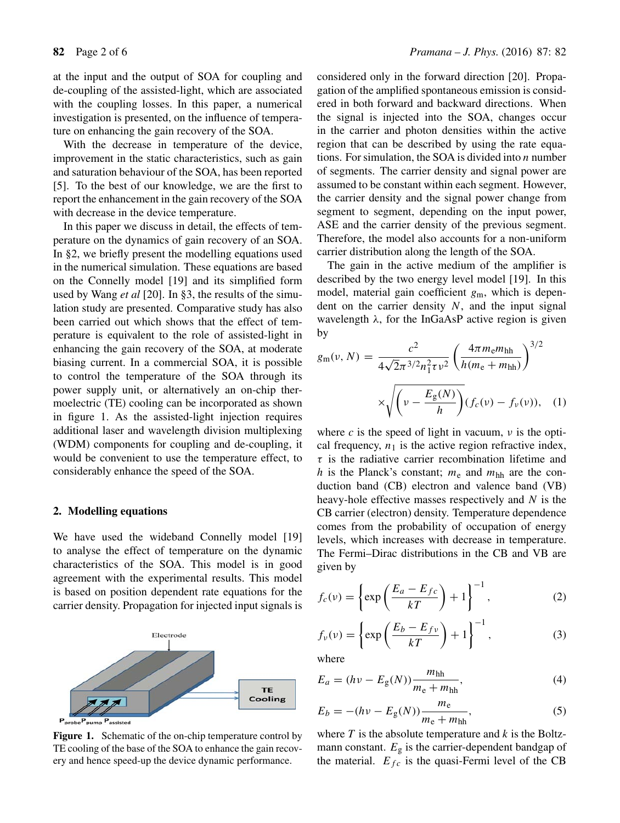at the input and the output of SOA for coupling and de-coupling of the assisted-light, which are associated with the coupling losses. In this paper, a numerical investigation is presented, on the influence of temperature on enhancing the gain recovery of the SOA.

With the decrease in temperature of the device, improvement in the static characteristics, such as gain and saturation behaviour of the SOA, has been reported [5]. To the best of our knowledge, we are the first to report the enhancement in the gain recovery of the SOA with decrease in the device temperature.

In this paper we discuss in detail, the effects of temperature on the dynamics of gain recovery of an SOA. In §2, we briefly present the modelling equations used in the numerical simulation. These equations are based on the Connelly model [19] and its simplified form used by Wang *et al* [20]. In §3, the results of the simulation study are presented. Comparative study has also been carried out which shows that the effect of temperature is equivalent to the role of assisted-light in enhancing the gain recovery of the SOA, at moderate biasing current. In a commercial SOA, it is possible to control the temperature of the SOA through its power supply unit, or alternatively an on-chip thermoelectric (TE) cooling can be incorporated as shown in figure 1. As the assisted-light injection requires additional laser and wavelength division multiplexing (WDM) components for coupling and de-coupling, it would be convenient to use the temperature effect, to considerably enhance the speed of the SOA.

# **2. Modelling equations**

We have used the wideband Connelly model [19] to analyse the effect of temperature on the dynamic characteristics of the SOA. This model is in good agreement with the experimental results. This model is based on position dependent rate equations for the carrier density. Propagation for injected input signals is



**Figure 1.** Schematic of the on-chip temperature control by TE cooling of the base of the SOA to enhance the gain recovery and hence speed-up the device dynamic performance.

considered only in the forward direction [20]. Propagation of the amplified spontaneous emission is considered in both forward and backward directions. When the signal is injected into the SOA, changes occur in the carrier and photon densities within the active region that can be described by using the rate equations. For simulation, the SOA is divided into  $n$  number of segments. The carrier density and signal power are assumed to be constant within each segment. However, the carrier density and the signal power change from segment to segment, depending on the input power, ASE and the carrier density of the previous segment. Therefore, the model also accounts for a non-uniform carrier distribution along the length of the SOA.

The gain in the active medium of the amplifier is described by the two energy level model [19]. In this model, material gain coefficient  $g_m$ , which is dependent on the carrier density  $N$ , and the input signal wavelength  $\lambda$ , for the InGaAsP active region is given by

$$
g_{\rm m}(\nu, N) = \frac{c^2}{4\sqrt{2}\pi^{3/2}n_1^2\tau\nu^2} \left(\frac{4\pi m_{\rm e}m_{\rm hh}}{h(m_{\rm e} + m_{\rm hh})}\right)^{3/2}
$$

$$
\times \sqrt{\left(\nu - \frac{E_{\rm g}(N)}{h}\right)} (f_c(\nu) - f_\nu(\nu)), \quad (1)
$$

where c is the speed of light in vacuum,  $\nu$  is the optical frequency,  $n_1$  is the active region refractive index,  $\tau$  is the radiative carrier recombination lifetime and h is the Planck's constant;  $m_e$  and  $m_{hh}$  are the conduction band (CB) electron and valence band (VB) heavy-hole effective masses respectively and  $N$  is the CB carrier (electron) density. Temperature dependence comes from the probability of occupation of energy levels, which increases with decrease in temperature. The Fermi–Dirac distributions in the CB and VB are given by

$$
f_c(v) = \left\{ \exp\left(\frac{E_a - E_{fc}}{kT}\right) + 1 \right\}^{-1},\tag{2}
$$

$$
f_{\nu}(\nu) = \left\{ \exp\left(\frac{E_b - E_{fv}}{kT}\right) + 1 \right\}^{-1},\tag{3}
$$

where

$$
E_a = (hv - E_g(N)) \frac{m_{hh}}{m_e + m_{hh}},
$$
\n(4)

$$
E_b = -(hv - E_g(N))\frac{m_e}{m_e + m_{hh}},
$$
\n(5)

where  $T$  is the absolute temperature and  $k$  is the Boltzmann constant.  $E<sub>g</sub>$  is the carrier-dependent bandgap of the material.  $E_{fc}$  is the quasi-Fermi level of the CB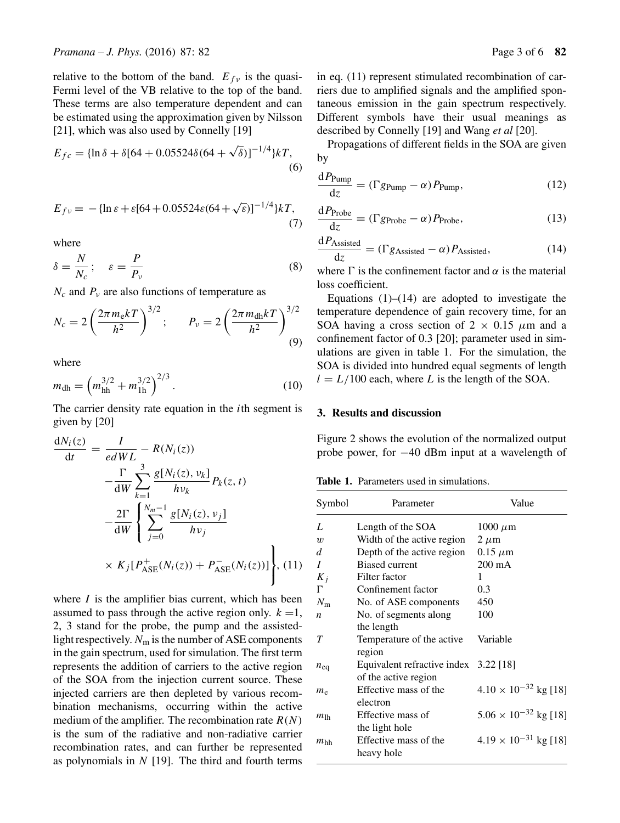relative to the bottom of the band.  $E_{fv}$  is the quasi-Fermi level of the VB relative to the top of the band. These terms are also temperature dependent and can be estimated using the approximation given by Nilsson [21], which was also used by Connelly [19]

$$
E_{fc} = {\ln \delta + \delta [64 + 0.05524 \delta (64 + \sqrt{\delta})]^{-1/4} \} kT, \tag{6}
$$

$$
E_{fv} = -\{\ln \varepsilon + \varepsilon [64 + 0.05524\varepsilon (64 + \sqrt{\varepsilon})]^{-1/4}\} kT,\tag{7}
$$

where

$$
\delta = \frac{N}{N_c}; \quad \varepsilon = \frac{P}{P_v} \tag{8}
$$

 $N_c$  and  $P_v$  are also functions of temperature as

$$
N_c = 2\left(\frac{2\pi m_e kT}{h^2}\right)^{3/2}; \qquad P_\nu = 2\left(\frac{2\pi m_{\rm dh} kT}{h^2}\right)^{3/2}
$$
(9)

where

$$
m_{\rm dh} = \left(m_{\rm hh}^{3/2} + m_{\rm lh}^{3/2}\right)^{2/3}.\tag{10}
$$

The carrier density rate equation in the *i*th segment is given by [20]

$$
\frac{dN_i(z)}{dt} = \frac{I}{edWL} - R(N_i(z)) \n- \frac{\Gamma}{dW} \sum_{k=1}^3 \frac{g[N_i(z), \nu_k]}{h\nu_k} P_k(z, t) \n- \frac{2\Gamma}{dW} \left\{ \sum_{j=0}^{N_m-1} \frac{g[N_i(z), \nu_j]}{h\nu_j} \right. \n\times K_j [P^+_{ASE}(N_i(z)) + P^-_{ASE}(N_i(z))] \right\}, (11)
$$

where  $I$  is the amplifier bias current, which has been assumed to pass through the active region only.  $k = 1$ , 2, 3 stand for the probe, the pump and the assistedlight respectively.  $N_{\rm m}$  is the number of ASE components in the gain spectrum, used for simulation. The first term represents the addition of carriers to the active region of the SOA from the injection current source. These injected carriers are then depleted by various recombination mechanisms, occurring within the active medium of the amplifier. The recombination rate  $R(N)$ is the sum of the radiative and non-radiative carrier recombination rates, and can further be represented as polynomials in  $N$  [19]. The third and fourth terms in eq. (11) represent stimulated recombination of carriers due to amplified signals and the amplified spontaneous emission in the gain spectrum respectively. Different symbols have their usual meanings as described by Connelly [19] and Wang *et al* [20].

Propagations of different fields in the SOA are given by

$$
\frac{dP_{\text{Pump}}}{dz} = (\Gamma g_{\text{Pump}} - \alpha) P_{\text{Pump}},
$$
\n(12)

$$
\frac{dP_{\text{Probe}}}{dz} = (\Gamma g_{\text{Probe}} - \alpha) P_{\text{Probe}},\tag{13}
$$

$$
\frac{dP_{\text{Assisted}}}{dz} = (\Gamma g_{\text{Assisted}} - \alpha) P_{\text{Assisted}},\tag{14}
$$

where  $\Gamma$  is the confinement factor and  $\alpha$  is the material loss coefficient.

Equations  $(1)$ – $(14)$  are adopted to investigate the temperature dependence of gain recovery time, for an SOA having a cross section of  $2 \times 0.15 \mu m$  and a confinement factor of 0.3 [20]; parameter used in simulations are given in table 1. For the simulation, the SOA is divided into hundred equal segments of length  $l = L/100$  each, where L is the length of the SOA.

## **3. Results and discussion**

Figure 2 shows the evolution of the normalized output probe power, for −40 dBm input at a wavelength of

**Table 1.** Parameters used in simulations.

| Symbol           | Parameter                             | Value                          |
|------------------|---------------------------------------|--------------------------------|
| L                | Length of the SOA                     | $1000 \mu m$                   |
| $\boldsymbol{w}$ | Width of the active region            | $2 \mu m$                      |
| d                | Depth of the active region            | $0.15 \mu m$                   |
| I                | <b>Biased current</b>                 | $200 \text{ mA}$               |
| $K_i$            | Filter factor                         | 1                              |
| Г                | Confinement factor                    | 0.3                            |
| $N_{\rm m}$      | No. of ASE components                 | 450                            |
| n                | No. of segments along                 | 100                            |
|                  | the length                            |                                |
| T                | Temperature of the active             | Variable                       |
|                  | region                                |                                |
| $n_{\text{eq}}$  | Equivalent refractive index 3.22 [18] |                                |
|                  | of the active region                  |                                |
| $m_{\rm e}$      | Effective mass of the                 | $4.10 \times 10^{-32}$ kg [18] |
|                  | electron                              |                                |
| $m_{\rm lb}$     | Effective mass of                     | $5.06 \times 10^{-32}$ kg [18] |
|                  | the light hole                        |                                |
| $m_{hh}$         | Effective mass of the                 | $4.19 \times 10^{-31}$ kg [18] |
|                  | heavy hole                            |                                |
|                  |                                       |                                |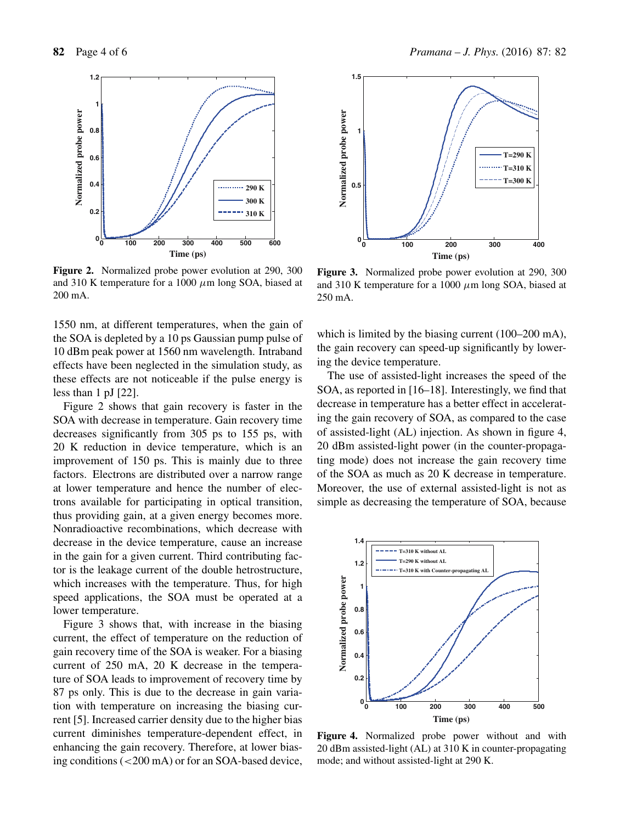

**Figure 2.** Normalized probe power evolution at 290, 300 and 310 K temperature for a 1000  $\mu$ m long SOA, biased at 200 mA.

1550 nm, at different temperatures, when the gain of the SOA is depleted by a 10 ps Gaussian pump pulse of 10 dBm peak power at 1560 nm wavelength. Intraband effects have been neglected in the simulation study, as these effects are not noticeable if the pulse energy is less than 1 pJ [22].

Figure 2 shows that gain recovery is faster in the SOA with decrease in temperature. Gain recovery time decreases significantly from 305 ps to 155 ps, with 20 K reduction in device temperature, which is an improvement of 150 ps. This is mainly due to three factors. Electrons are distributed over a narrow range at lower temperature and hence the number of electrons available for participating in optical transition, thus providing gain, at a given energy becomes more. Nonradioactive recombinations, which decrease with decrease in the device temperature, cause an increase in the gain for a given current. Third contributing factor is the leakage current of the double hetrostructure, which increases with the temperature. Thus, for high speed applications, the SOA must be operated at a lower temperature.

Figure 3 shows that, with increase in the biasing current, the effect of temperature on the reduction of gain recovery time of the SOA is weaker. For a biasing current of 250 mA, 20 K decrease in the temperature of SOA leads to improvement of recovery time by 87 ps only. This is due to the decrease in gain variation with temperature on increasing the biasing current [5]. Increased carrier density due to the higher bias current diminishes temperature-dependent effect, in enhancing the gain recovery. Therefore, at lower biasing conditions (<200 mA) or for an SOA-based device,



**Figure 3.** Normalized probe power evolution at 290, 300 and 310 K temperature for a 1000  $\mu$ m long SOA, biased at 250 mA.

which is limited by the biasing current (100–200 mA), the gain recovery can speed-up significantly by lowering the device temperature.

The use of assisted-light increases the speed of the SOA, as reported in [16–18]. Interestingly, we find that decrease in temperature has a better effect in accelerating the gain recovery of SOA, as compared to the case of assisted-light (AL) injection. As shown in figure 4, 20 dBm assisted-light power (in the counter-propagating mode) does not increase the gain recovery time of the SOA as much as 20 K decrease in temperature. Moreover, the use of external assisted-light is not as simple as decreasing the temperature of SOA, because



**Figure 4.** Normalized probe power without and with 20 dBm assisted-light (AL) at 310 K in counter-propagating mode; and without assisted-light at 290 K.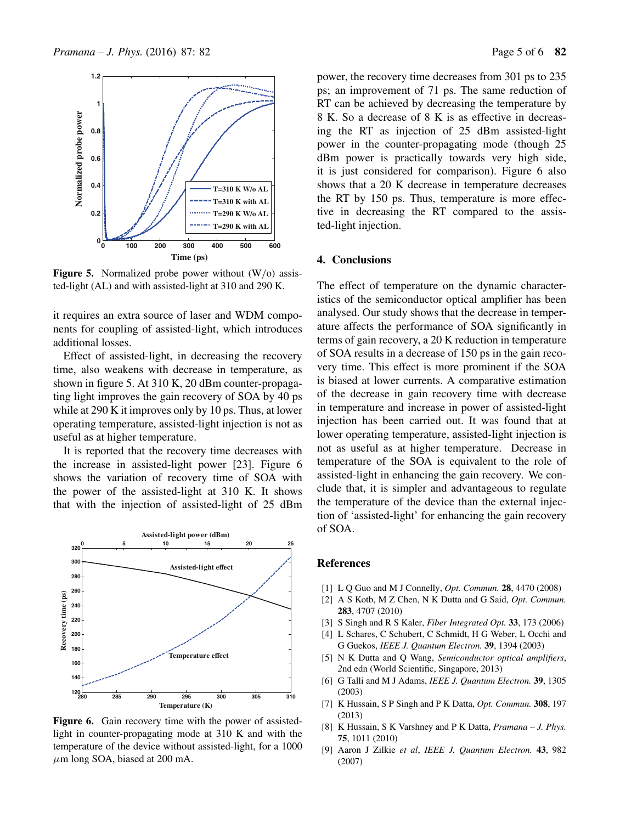

**Figure 5.** Normalized probe power without (W/o) assisted-light (AL) and with assisted-light at 310 and 290 K.

it requires an extra source of laser and WDM components for coupling of assisted-light, which introduces additional losses.

Effect of assisted-light, in decreasing the recovery time, also weakens with decrease in temperature, as shown in figure 5. At 310 K, 20 dBm counter-propagating light improves the gain recovery of SOA by 40 ps while at 290 K it improves only by 10 ps. Thus, at lower operating temperature, assisted-light injection is not as useful as at higher temperature.

It is reported that the recovery time decreases with the increase in assisted-light power [23]. Figure 6 shows the variation of recovery time of SOA with the power of the assisted-light at 310 K. It shows that with the injection of assisted-light of 25 dBm



Figure 6. Gain recovery time with the power of assistedlight in counter-propagating mode at 310 K and with the temperature of the device without assisted-light, for a 1000  $\mu$ m long SOA, biased at 200 mA.

power, the recovery time decreases from 301 ps to 235 ps; an improvement of 71 ps. The same reduction of RT can be achieved by decreasing the temperature by 8 K. So a decrease of 8 K is as effective in decreasing the RT as injection of 25 dBm assisted-light power in the counter-propagating mode (though 25 dBm power is practically towards very high side, it is just considered for comparison). Figure 6 also shows that a 20 K decrease in temperature decreases the RT by 150 ps. Thus, temperature is more effective in decreasing the RT compared to the assisted-light injection.

### **4. Conclusions**

The effect of temperature on the dynamic characteristics of the semiconductor optical amplifier has been analysed. Our study shows that the decrease in temperature affects the performance of SOA significantly in terms of gain recovery, a 20 K reduction in temperature of SOA results in a decrease of 150 ps in the gain recovery time. This effect is more prominent if the SOA is biased at lower currents. A comparative estimation of the decrease in gain recovery time with decrease in temperature and increase in power of assisted-light injection has been carried out. It was found that at lower operating temperature, assisted-light injection is not as useful as at higher temperature. Decrease in temperature of the SOA is equivalent to the role of assisted-light in enhancing the gain recovery. We conclude that, it is simpler and advantageous to regulate the temperature of the device than the external injection of 'assisted-light' for enhancing the gain recovery of SOA.

#### **References**

- [1] L Q Guo and M J Connelly, *Opt. Commun.* **28**, 4470 (2008)
- [2] A S Kotb, M Z Chen, N K Dutta and G Said, *Opt. Commun.* **283**, 4707 (2010)
- [3] S Singh and R S Kaler, *Fiber Integrated Opt.* **33**, 173 (2006)
- [4] L Schares, C Schubert, C Schmidt, H G Weber, L Occhi and G Guekos, *IEEE J. Quantum Electron.* **39**, 1394 (2003)
- [5] N K Dutta and Q Wang, *Semiconductor optical amplifiers*, *2*nd edn (World Scientific, Singapore, 2013)
- [6] G Talli and M J Adams, *IEEE J. Quantum Electron.* **39**, 1305 (2003)
- [7] K Hussain, S P Singh and P K Datta, *Opt. Commun.* **308**, 197 (2013)
- [8] K Hussain, S K Varshney and P K Datta, *Pramana J. Phys.* **75**, 1011 (2010)
- [9] Aaron J Zilkie *et al*, *IEEE J. Quantum Electron.* **43**, 982 (2007)